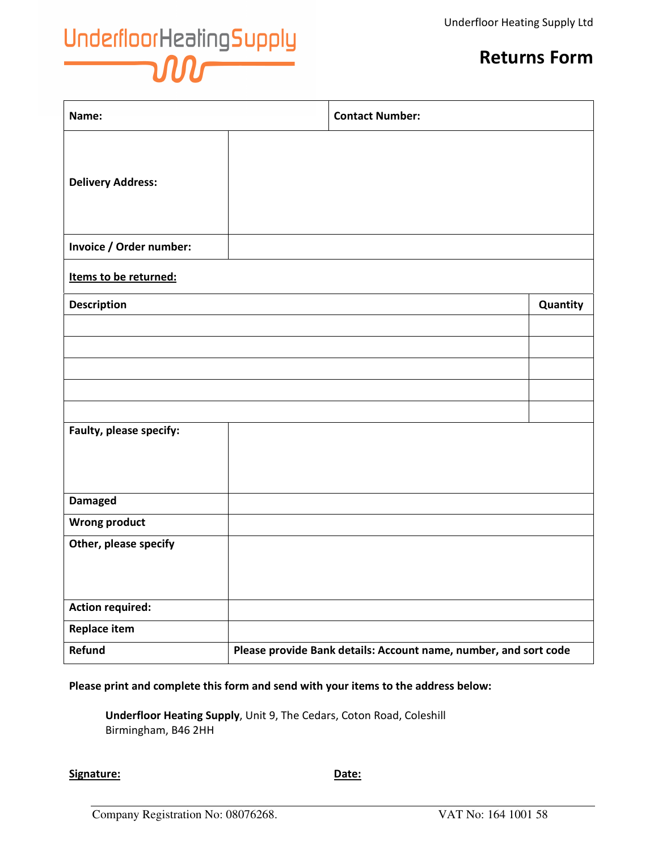## Underfloor Healing Supply

## Returns Form

| Name:                    |                                                                  | <b>Contact Number:</b> |          |
|--------------------------|------------------------------------------------------------------|------------------------|----------|
| <b>Delivery Address:</b> |                                                                  |                        |          |
| Invoice / Order number:  |                                                                  |                        |          |
| Items to be returned:    |                                                                  |                        |          |
| <b>Description</b>       |                                                                  |                        | Quantity |
|                          |                                                                  |                        |          |
|                          |                                                                  |                        |          |
|                          |                                                                  |                        |          |
|                          |                                                                  |                        |          |
|                          |                                                                  |                        |          |
| Faulty, please specify:  |                                                                  |                        |          |
| <b>Damaged</b>           |                                                                  |                        |          |
| <b>Wrong product</b>     |                                                                  |                        |          |
| Other, please specify    |                                                                  |                        |          |
| <b>Action required:</b>  |                                                                  |                        |          |
| <b>Replace item</b>      |                                                                  |                        |          |
| Refund                   | Please provide Bank details: Account name, number, and sort code |                        |          |

## Please print and complete this form and send with your items to the address below:

Underfloor Heating Supply, Unit 9, The Cedars, Coton Road, Coleshill Birmingham, B46 2HH

Signature: Date: Date: Date: Date: Date: Date: Date: Date: Date: Date: Date: Date: Date: Date: Date: Date: Date: Date: Date: Date: Date: Date: Date: Date: Date: Date: Date: Date: Date: Date: Date: Date: Date: Date: Date: D